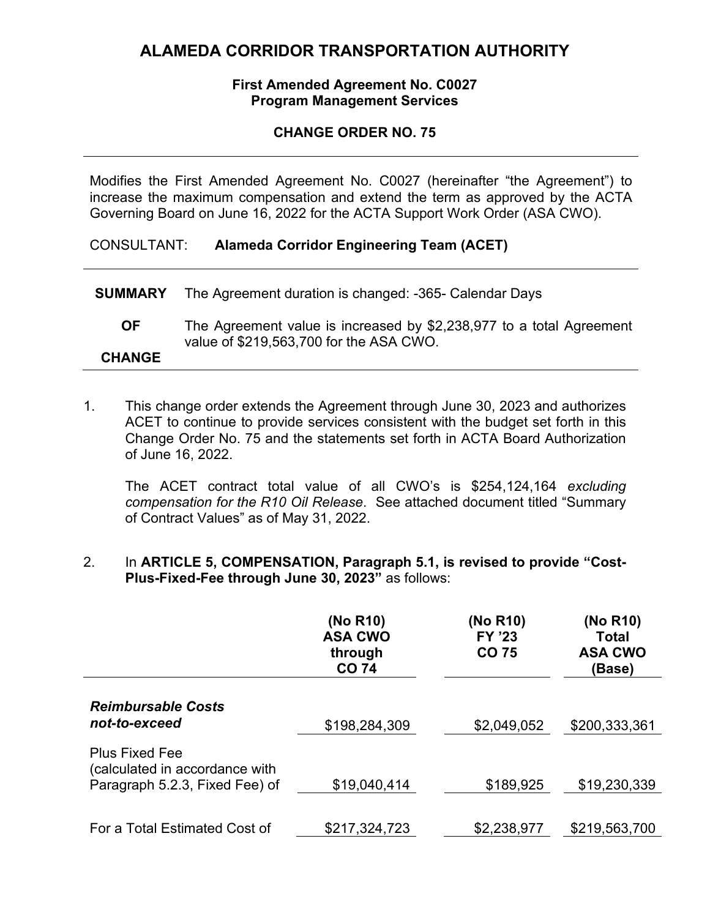## **ALAMEDA CORRIDOR TRANSPORTATION AUTHORITY**

#### **First Amended Agreement No. C0027 Program Management Services**

#### **CHANGE ORDER NO. 75**

Modifies the First Amended Agreement No. C0027 (hereinafter "the Agreement") to increase the maximum compensation and extend the term as approved by the ACTA Governing Board on June 16, 2022 for the ACTA Support Work Order (ASA CWO).

#### CONSULTANT: **Alameda Corridor Engineering Team (ACET)**

| <b>CHANGE</b>  |                                                                                                                 |
|----------------|-----------------------------------------------------------------------------------------------------------------|
| OF.            | The Agreement value is increased by \$2,238,977 to a total Agreement<br>value of \$219,563,700 for the ASA CWO. |
| <b>SUMMARY</b> | The Agreement duration is changed: -365- Calendar Days                                                          |

1. This change order extends the Agreement through June 30, 2023 and authorizes ACET to continue to provide services consistent with the budget set forth in this Change Order No. 75 and the statements set forth in ACTA Board Authorization of June 16, 2022.

The ACET contract total value of all CWO's is \$254,124,164 *excluding compensation for the R10 Oil Release*. See attached document titled "Summary of Contract Values" as of May 31, 2022.

#### 2. In **ARTICLE 5, COMPENSATION, Paragraph 5.1, is revised to provide "Cost-Plus-Fixed-Fee through June 30, 2023"** as follows:

|                                                                                           | (No R10)<br><b>ASA CWO</b><br>through<br><b>CO 74</b> | (No R10)<br><b>FY '23</b><br>CO 75 | (No R10)<br>Total<br><b>ASA CWO</b><br>(Base) |
|-------------------------------------------------------------------------------------------|-------------------------------------------------------|------------------------------------|-----------------------------------------------|
| <b>Reimbursable Costs</b><br>not-to-exceed                                                | \$198,284,309                                         | \$2,049,052                        | \$200,333,361                                 |
| <b>Plus Fixed Fee</b><br>(calculated in accordance with<br>Paragraph 5.2.3, Fixed Fee) of | \$19,040,414                                          | \$189,925                          | \$19,230,339                                  |
| For a Total Estimated Cost of                                                             | \$217,324,723                                         | \$2,238,977                        | \$219,563,700                                 |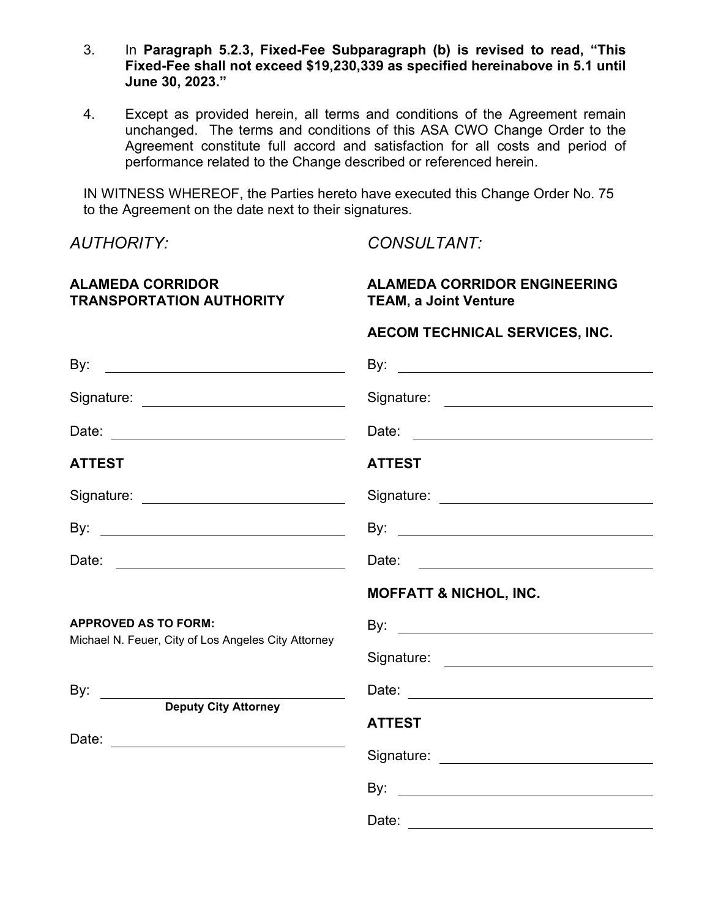- 3. In **Paragraph 5.2.3, Fixed-Fee Subparagraph (b) is revised to read, "This Fixed-Fee shall not exceed \$19,230,339 as specified hereinabove in 5.1 until June 30, 2023."**
- 4. Except as provided herein, all terms and conditions of the Agreement remain unchanged. The terms and conditions of this ASA CWO Change Order to the Agreement constitute full accord and satisfaction for all costs and period of performance related to the Change described or referenced herein.

IN WITNESS WHEREOF, the Parties hereto have executed this Change Order No. 75 to the Agreement on the date next to their signatures.

*AUTHORITY: CONSULTANT:*

Date: and the contract of the contract of the contract of the contract of the contract of the contract of the contract of the contract of the contract of the contract of the contract of the contract of the contract of the

| <b>ALAMEDA CORRIDOR</b><br><b>TRANSPORTATION AUTHORITY</b> | <b>ALAMEDA CORRIDOR ENGINEERING</b><br><b>TEAM, a Joint Venture</b> |  |  |
|------------------------------------------------------------|---------------------------------------------------------------------|--|--|
|                                                            | AECOM TECHNICAL SERVICES, INC.                                      |  |  |
|                                                            |                                                                     |  |  |
| Signature: _____________________________                   |                                                                     |  |  |
| Date: __________________________________                   | Date:                                                               |  |  |
| <b>ATTEST</b>                                              | <b>ATTEST</b>                                                       |  |  |
| Signature: _____________________________                   |                                                                     |  |  |
|                                                            |                                                                     |  |  |
| Date: ___________________________________                  |                                                                     |  |  |
|                                                            | <b>MOFFATT &amp; NICHOL, INC.</b>                                   |  |  |
| <b>APPROVED AS TO FORM:</b>                                |                                                                     |  |  |
| Michael N. Feuer, City of Los Angeles City Attorney        |                                                                     |  |  |
| By: ________                                               |                                                                     |  |  |
| <b>Deputy City Attorney</b>                                | <b>ATTEST</b>                                                       |  |  |
| Date: ___________________________________                  |                                                                     |  |  |
|                                                            |                                                                     |  |  |
|                                                            |                                                                     |  |  |